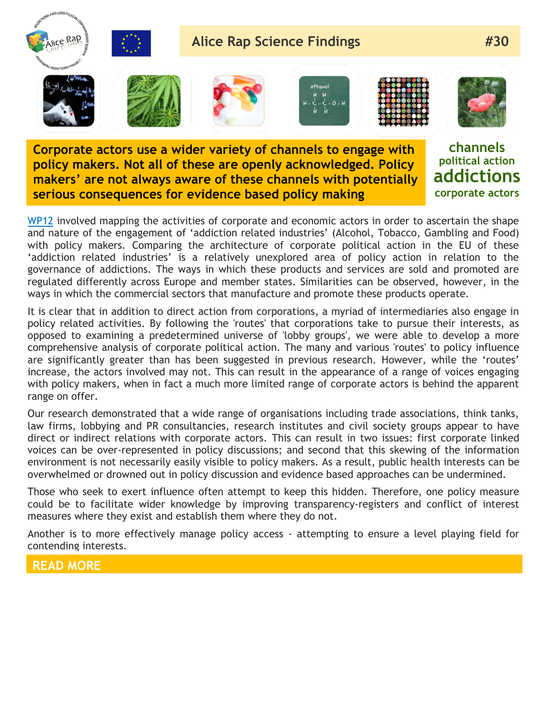

**Corporate actors use a wider variety of channels to engage with policy makers. Not all of these are openly acknowledged. Policy makers' are not always aware of these channels with potentially serious consequences for evidence based policy making**

**channels political action addictions corporate actors**

[WP12](http://www.alicerap.eu/about-alice-rap/areas-a-workpackages/area-4-business-of-addiction.html) involved mapping the activities of corporate and economic actors in order to ascertain the shape and nature of the engagement of 'addiction related industries' (Alcohol, Tobacco, Gambling and Food) with policy makers. Comparing the architecture of corporate political action in the EU of these 'addiction related industries' is a relatively unexplored area of policy action in relation to the governance of addictions. The ways in which these products and services are sold and promoted are regulated differently across Europe and member states. Similarities can be observed, however, in the ways in which the commercial sectors that manufacture and promote these products operate.

It is clear that in addition to direct action from corporations, a myriad of intermediaries also engage in policy related activities. By following the 'routes' that corporations take to pursue their interests, as opposed to examining a predetermined universe of 'lobby groups', we were able to develop a more comprehensive analysis of corporate political action. The many and various 'routes' to policy influence are significantly greater than has been suggested in previous research. However, while the 'routes' increase, the actors involved may not. This can result in the appearance of a range of voices engaging with policy makers, when in fact a much more limited range of corporate actors is behind the apparent range on offer.

Our research demonstrated that a wide range of organisations including trade associations, think tanks, law firms, lobbying and PR consultancies, research institutes and civil society groups appear to have direct or indirect relations with corporate actors. This can result in two issues: first corporate linked voices can be over-represented in policy discussions; and second that this skewing of the information environment is not necessarily easily visible to policy makers. As a result, public health interests can be overwhelmed or drowned out in policy discussion and evidence based approaches can be undermined.

Those who seek to exert influence often attempt to keep this hidden. Therefore, one policy measure could be to facilitate wider knowledge by improving transparency-registers and conflict of interest measures where they exist and establish them where they do not.

Another is to more effectively manage policy access - attempting to ensure a level playing field for contending interests.

## **READ MORE**